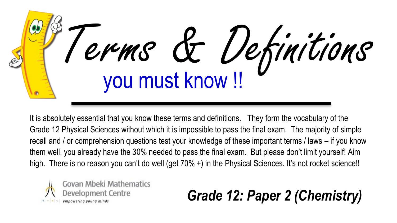

It is absolutely essential that you know these terms and definitions. They form the vocabulary of the Grade 12 Physical Sciences without which it is impossible to pass the final exam. The majority of simple recall and / or comprehension questions test your knowledge of these important terms / laws – if you know them well, you already have the 30% needed to pass the final exam. But please don't limit yourself! Aim high. There is no reason you can't do well (get 70% +) in the Physical Sciences. It's not rocket science!!



## *Grade 12: Paper 2 (Chemistry)*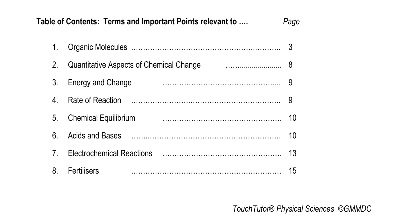|         | Table of Contents: Terms and Important Points relevant to | Page |
|---------|-----------------------------------------------------------|------|
| 1.      |                                                           | 3    |
| $2_{1}$ | Quantitative Aspects of Chemical Change                   |      |
| 3.      | Energy and Change                                         | 9    |
| 4       |                                                           | -9   |
| 5.      | <b>Chemical Equilibrium</b>                               | 10   |
| 6       |                                                           | 10   |
| 7.      |                                                           | 13   |
| 8.      | Fertilisers                                               | 15   |

*TouchTutor® Physical Sciences ©GMMDC*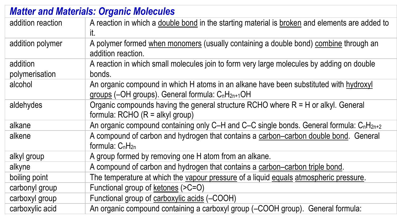| <b>Matter and Materials: Organic Molecules</b> |                                                                                                                                                                    |  |
|------------------------------------------------|--------------------------------------------------------------------------------------------------------------------------------------------------------------------|--|
| addition reaction                              | A reaction in which a double bond in the starting material is broken and elements are added to<br>it.                                                              |  |
| addition polymer                               | A polymer formed when monomers (usually containing a double bond) combine through an<br>addition reaction.                                                         |  |
| addition<br>polymerisation                     | A reaction in which small molecules join to form very large molecules by adding on double<br>bonds.                                                                |  |
| alcohol                                        | An organic compound in which H atoms in an alkane have been substituted with hydroxyl<br>groups (-OH groups). General formula: C <sub>n</sub> H <sub>2n+1</sub> OH |  |
| aldehydes                                      | Organic compounds having the general structure RCHO where $R = H$ or alkyl. General<br>formula: RCHO $(R = alkyl)$ group)                                          |  |
| alkane                                         | An organic compound containing only C-H and C-C single bonds. General formula: $C_nH_{2n+2}$                                                                       |  |
| alkene                                         | A compound of carbon and hydrogen that contains a carbon-carbon double bond. General<br>formula: $C_nH_{2n}$                                                       |  |
| alkyl group                                    | A group formed by removing one H atom from an alkane.                                                                                                              |  |
| alkyne                                         | A compound of carbon and hydrogen that contains a carbon-carbon triple bond.                                                                                       |  |
| boiling point                                  | The temperature at which the vapour pressure of a liquid equals atmospheric pressure.                                                                              |  |
| carbonyl group                                 | Functional group of ketones (>C=O)                                                                                                                                 |  |
| carboxyl group                                 | Functional group of carboxylic acids (-COOH)                                                                                                                       |  |
| carboxylic acid                                | An organic compound containing a carboxyl group (-COOH group). General formula:                                                                                    |  |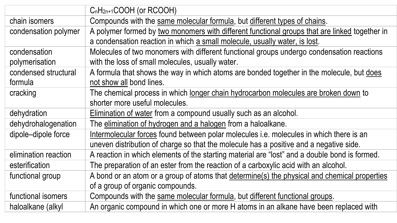|                      | $C_nH_{2n+1}COOH$ (or RCOOH)                                                                  |
|----------------------|-----------------------------------------------------------------------------------------------|
| chain isomers        | Compounds with the same molecular formula, but different types of chains.                     |
| condensation polymer | A polymer formed by two monomers with different functional groups that are linked together in |
|                      | a condensation reaction in which a small molecule, usually water, is lost.                    |
| condensation         | Molecules of two monomers with different functional groups undergo condensation reactions     |
| polymerisation       | with the loss of small molecules, usually water.                                              |
| condensed structural | A formula that shows the way in which atoms are bonded together in the molecule, but does     |
| formula              | not show all bond lines.                                                                      |
| cracking             | The chemical process in which longer chain hydrocarbon molecules are broken down to           |
|                      | shorter more useful molecules.                                                                |
| dehydration          | Elimination of water from a compound usually such as an alcohol.                              |
| dehydrohalogenation  | The elimination of hydrogen and a halogen from a haloalkane.                                  |
| dipole-dipole force  | Intermolecular forces found between polar molecules i.e. molecules in which there is an       |
|                      | uneven distribution of charge so that the molecule has a positive and a negative side.        |
| elimination reaction | A reaction in which elements of the starting material are "lost" and a double bond is formed. |
| esterification       | The preparation of an ester from the reaction of a carboxylic acid with an alcohol.           |
| functional group     | A bond or an atom or a group of atoms that determine(s) the physical and chemical properties  |
|                      | of a group of organic compounds.                                                              |
| functional isomers   | Compounds with the same molecular formula, but different functional groups.                   |
| haloalkane (alkyl    | An organic compound in which one or more H atoms in an alkane have been replaced with         |
|                      |                                                                                               |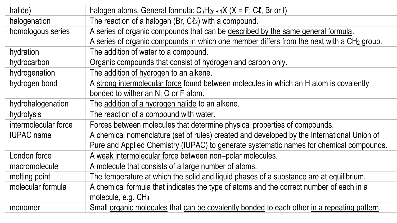| halide)              | halogen atoms. General formula: $C_nH_{2n+1}X$ ( $X = F$ , $C\ell$ , Br or I)                         |
|----------------------|-------------------------------------------------------------------------------------------------------|
| halogenation         | The reaction of a halogen (Br, $C\ell_2$ ) with a compound.                                           |
| homologous series    | A series of organic compounds that can be described by the same general formula.                      |
|                      | A series of organic compounds in which one member differs from the next with a CH <sub>2</sub> group. |
| hydration            | The addition of water to a compound.                                                                  |
| hydrocarbon          | Organic compounds that consist of hydrogen and carbon only.                                           |
| hydrogenation        | The addition of hydrogen to an alkene.                                                                |
| hydrogen bond        | A strong intermolecular force found between molecules in which an H atom is covalently                |
|                      | bonded to wither an N, O or F atom.                                                                   |
| hydrohalogenation    | The addition of a hydrogen halide to an alkene.                                                       |
| hydrolysis           | The reaction of a compound with water.                                                                |
| intermolecular force | Forces between molecules that determine physical properties of compounds.                             |
| <b>IUPAC</b> name    | A chemical nomenclature (set of rules) created and developed by the International Union of            |
|                      | Pure and Applied Chemistry (IUPAC) to generate systematic names for chemical compounds.               |
| London force         | A weak intermolecular force between non-polar molecules.                                              |
| macromolecule        | A molecule that consists of a large number of atoms.                                                  |
| melting point        | The temperature at which the solid and liquid phases of a substance are at equilibrium.               |
| molecular formula    | A chemical formula that indicates the type of atoms and the correct number of each in a               |
|                      | molecule, e.g. CH <sub>4</sub>                                                                        |
| monomer              | Small organic molecules that can be covalently bonded to each other in a repeating pattern.           |
|                      |                                                                                                       |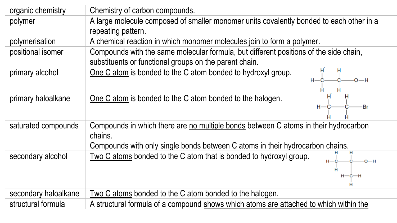| Chemistry of carbon compounds.                                                          |
|-----------------------------------------------------------------------------------------|
| A large molecule composed of smaller monomer units covalently bonded to each other in a |
| repeating pattern.                                                                      |
| A chemical reaction in which monomer molecules join to form a polymer.                  |
| Compounds with the same molecular formula, but different positions of the side chain,   |
| substituents or functional groups on the parent chain.                                  |
| н<br>One C atom is bonded to the C atom bonded to hydroxyl group.<br>н                  |
| $H - C$<br>$-0$                                                                         |
| н<br>н<br>н                                                                             |
| One C atom is bonded to the C atom bonded to the halogen.<br>$H - C$<br>-Br             |
|                                                                                         |
| Compounds in which there are no multiple bonds between C atoms in their hydrocarbon     |
| chains.                                                                                 |
| Compounds with only single bonds between C atoms in their hydrocarbon chains.           |
| Two C atoms bonded to the C atom that is bonded to hydroxyl group.                      |
| Ĥ                                                                                       |
| $H - C - H$                                                                             |
|                                                                                         |
| Two C atoms bonded to the C atom bonded to the halogen.                                 |
| A structural formula of a compound shows which atoms are attached to which within the   |
|                                                                                         |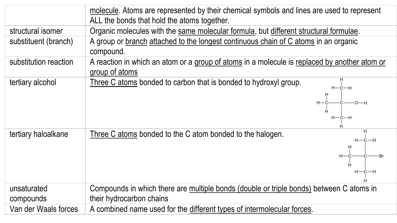|                          | molecule. Atoms are represented by their chemical symbols and lines are used to represent<br>ALL the bonds that hold the atoms together. |
|--------------------------|------------------------------------------------------------------------------------------------------------------------------------------|
| structural isomer        | Organic molecules with the same molecular formula, but different structural formulae.                                                    |
| substituent (branch)     | A group or branch attached to the longest continuous chain of C atoms in an organic<br>compound.                                         |
| substitution reaction    | A reaction in which an atom or a group of atoms in a molecule is replaced by another atom or<br>group of atoms                           |
| tertiary alcohol         | Three C atoms bonded to carbon that is bonded to hydroxyl group.<br>$H - C - H$<br>Ĥ<br>$H - C - H$                                      |
| tertiary haloalkane      | н<br>Three C atoms bonded to the C atom bonded to the halogen.<br>$H - C - H$<br>$H - C - H$                                             |
| unsaturated<br>compounds | Compounds in which there are multiple bonds (double or triple bonds) between C atoms in<br>their hydrocarbon chains                      |
| Van der Waals forces     | A combined name used for the different types of intermolecular forces.                                                                   |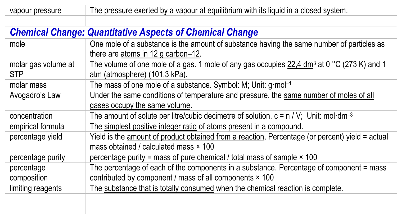vapour pressure The pressure exerted by a vapour at equilibrium with its liquid in a closed system.

## *Chemical Change: Quantitative Aspects of Chemical Change*

| mole                              | One mole of a substance is the amount of substance having the same number of particles as<br>there are atoms in 12 g carbon-12.                    |
|-----------------------------------|----------------------------------------------------------------------------------------------------------------------------------------------------|
| molar gas volume at<br><b>STP</b> | The volume of one mole of a gas. 1 mole of any gas occupies 22,4 dm <sup>3</sup> at 0 °C (273 K) and 1<br>atm (atmosphere) (101,3 kPa).            |
| molar mass                        | The mass of one mole of a substance. Symbol: M; Unit: g·mol-1                                                                                      |
| Avogadro's Law                    | Under the same conditions of temperature and pressure, the same number of moles of all<br>gases occupy the same volume.                            |
| concentration                     | The amount of solute per litre/cubic decimetre of solution. $c = n / V$ ; Unit: mol·dm <sup>-3</sup>                                               |
| empirical formula                 | The simplest positive integer ratio of atoms present in a compound.                                                                                |
| percentage yield                  | Yield is the amount of product obtained from a reaction. Percentage (or percent) yield = actual<br>mass obtained / calculated mass × 100           |
| percentage purity                 | percentage purity = mass of pure chemical / total mass of sample $\times$ 100                                                                      |
| percentage<br>composition         | The percentage of each of the components in a substance. Percentage of component = mass<br>contributed by component / mass of all components × 100 |
| limiting reagents                 | The substance that is totally consumed when the chemical reaction is complete.                                                                     |
|                                   |                                                                                                                                                    |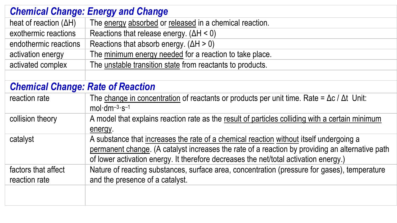| <b>Chemical Change: Energy and Change</b> |                                                                                                            |  |
|-------------------------------------------|------------------------------------------------------------------------------------------------------------|--|
| heat of reaction $(\Delta H)$             | The energy absorbed or released in a chemical reaction.                                                    |  |
| exothermic reactions                      | Reactions that release energy. $(\Delta H < 0)$                                                            |  |
| endothermic reactions                     | Reactions that absorb energy. $(\Delta H > 0)$                                                             |  |
| activation energy                         | The minimum energy needed for a reaction to take place.                                                    |  |
| activated complex                         | The unstable transition state from reactants to products.                                                  |  |
|                                           |                                                                                                            |  |
| <b>Chemical Change: Rate of Reaction</b>  |                                                                                                            |  |
| reaction rate                             | The change in concentration of reactants or products per unit time. Rate = $\Delta c / \Delta t$ Unit:     |  |
|                                           | $mol \cdot dm^{-3} \cdot s^{-1}$                                                                           |  |
| collision theory                          | A model that explains reaction rate as the result of particles colliding with a certain minimum<br>energy. |  |
| catalyst                                  | A substance that increases the rate of a chemical reaction without itself undergoing a                     |  |
|                                           | permanent change. (A catalyst increases the rate of a reaction by providing an alternative path            |  |
|                                           | of lower activation energy. It therefore decreases the net/total activation energy.)                       |  |
| factors that affect                       | Nature of reacting substances, surface area, concentration (pressure for gases), temperature               |  |
| reaction rate                             | and the presence of a catalyst.                                                                            |  |
|                                           |                                                                                                            |  |
|                                           |                                                                                                            |  |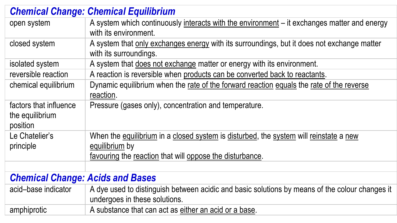|                                                       | <b>Chemical Change: Chemical Equilibrium</b>                                                                                                                        |  |
|-------------------------------------------------------|---------------------------------------------------------------------------------------------------------------------------------------------------------------------|--|
| open system                                           | A system which continuously interacts with the environment - it exchanges matter and energy<br>with its environment.                                                |  |
| closed system                                         | A system that only exchanges energy with its surroundings, but it does not exchange matter<br>with its surroundings.                                                |  |
| isolated system                                       | A system that does not exchange matter or energy with its environment.                                                                                              |  |
| reversible reaction                                   | A reaction is reversible when products can be converted back to reactants.                                                                                          |  |
| chemical equilibrium                                  | Dynamic equilibrium when the rate of the forward reaction equals the rate of the reverse<br>reaction.                                                               |  |
| factors that influence<br>the equilibrium<br>position | Pressure (gases only), concentration and temperature.                                                                                                               |  |
| Le Chatelier's<br>principle                           | When the equilibrium in a closed system is disturbed, the system will reinstate a new<br>equilibrium by<br>favouring the reaction that will oppose the disturbance. |  |
|                                                       |                                                                                                                                                                     |  |
| <b>Chemical Change: Acids and Bases</b>               |                                                                                                                                                                     |  |
| acid-base indicator                                   | A dye used to distinguish between acidic and basic solutions by means of the colour changes it<br>undergoes in these solutions.                                     |  |
| amphiprotic                                           | A substance that can act as either an acid or a base.                                                                                                               |  |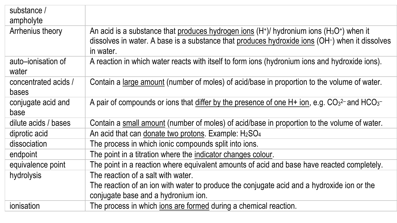| An acid is a substance that produces hydrogen ions $(H+)$ / hydronium ions $(H3O+)$ when it<br>dissolves in water. A base is a substance that produces hydroxide ions (OH-) when it dissolves<br>in water. |
|------------------------------------------------------------------------------------------------------------------------------------------------------------------------------------------------------------|
| A reaction in which water reacts with itself to form ions (hydronium ions and hydroxide ions).                                                                                                             |
| Contain a large amount (number of moles) of acid/base in proportion to the volume of water.                                                                                                                |
| A pair of compounds or ions that differ by the presence of one $H+$ ion, e.g. CO <sub>3</sub> <sup>2-</sup> and HCO <sub>3</sub> <sup>-</sup>                                                              |
| Contain a small amount (number of moles) of acid/base in proportion to the volume of water.                                                                                                                |
| An acid that can donate two protons. Example: H <sub>2</sub> SO <sub>4</sub>                                                                                                                               |
| The process in which ionic compounds split into ions.                                                                                                                                                      |
| The point in a titration where the indicator changes colour.                                                                                                                                               |
| The point in a reaction where equivalent amounts of acid and base have reacted completely.                                                                                                                 |
| The reaction of a salt with water.                                                                                                                                                                         |
| The reaction of an ion with water to produce the conjugate acid and a hydroxide ion or the                                                                                                                 |
| conjugate base and a hydronium ion.                                                                                                                                                                        |
| The process in which ions are formed during a chemical reaction.                                                                                                                                           |
|                                                                                                                                                                                                            |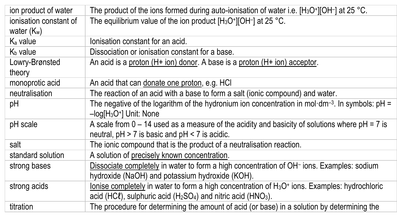| ion product of water   | The product of the ions formed during auto-ionisation of water i.e. $[H_3O^+][OH^-]$ at 25 °C.                        |
|------------------------|-----------------------------------------------------------------------------------------------------------------------|
| ionisation constant of | The equilibrium value of the ion product $[H_3O^+] [OH^-]$ at 25 °C.                                                  |
| water $(K_w)$          |                                                                                                                       |
| $K_a$ value            | lonisation constant for an acid.                                                                                      |
| $K_b$ value            | Dissociation or ionisation constant for a base.                                                                       |
| Lowry-Brønsted         | An acid is a proton $(H+ ion)$ donor. A base is a proton $(H+ ion)$ acceptor.                                         |
| theory                 |                                                                                                                       |
| monoprotic acid        | An acid that can donate one proton, e.g. HCI                                                                          |
| neutralisation         | The reaction of an acid with a base to form a salt (ionic compound) and water.                                        |
| pH                     | The negative of the logarithm of the hydronium ion concentration in mol-dm <sup>-3</sup> . In symbols: $pH =$         |
|                        | $-$ log $[H_3O^+]$ Unit: None                                                                                         |
| pH scale               | A scale from $0 - 14$ used as a measure of the acidity and basicity of solutions where $pH = 7$ is                    |
|                        | neutral, $pH > 7$ is basic and $pH < 7$ is acidic.                                                                    |
| salt                   | The ionic compound that is the product of a neutralisation reaction.                                                  |
| standard solution      | A solution of precisely known concentration.                                                                          |
| strong bases           | Dissociate completely in water to form a high concentration of OH- ions. Examples: sodium                             |
|                        | hydroxide (NaOH) and potassium hydroxide (KOH).                                                                       |
| strong acids           | lonise completely in water to form a high concentration of H <sub>3</sub> O <sup>+</sup> ions. Examples: hydrochloric |
|                        | acid (HC $\ell$ ), sulphuric acid (H <sub>2</sub> SO <sub>4</sub> ) and nitric acid (HNO <sub>3</sub> ).              |
| titration              | The procedure for determining the amount of acid (or base) in a solution by determining the                           |
|                        |                                                                                                                       |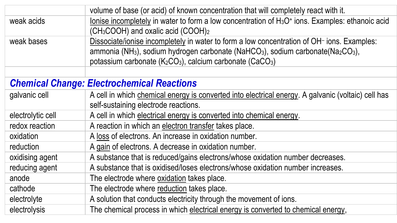|                   | volume of base (or acid) of known concentration that will completely react with it.                                              |
|-------------------|----------------------------------------------------------------------------------------------------------------------------------|
| weak acids        | lonise incompletely in water to form a low concentration of H <sub>3</sub> O <sup>+</sup> ions. Examples: ethanoic acid          |
|                   | (CH <sub>3</sub> COOH) and oxalic acid (COOH) <sub>2</sub>                                                                       |
| weak bases        | Dissociate/ionise incompletely in water to form a low concentration of OH- ions. Examples:                                       |
|                   | ammonia (NH <sub>3</sub> ), sodium hydrogen carbonate (NaHCO <sub>3</sub> ), sodium carbonate(Na <sub>2</sub> CO <sub>3</sub> ), |
|                   | potassium carbonate (K2CO3), calcium carbonate (CaCO3)                                                                           |
|                   |                                                                                                                                  |
|                   | <b>Chemical Change: Electrochemical Reactions</b>                                                                                |
| galvanic cell     | A cell in which chemical energy is converted into electrical energy. A galvanic (voltaic) cell has                               |
|                   | self-sustaining electrode reactions.                                                                                             |
| electrolytic cell | A cell in which electrical energy is converted into chemical energy.                                                             |
| redox reaction    | A reaction in which an electron transfer takes place.                                                                            |
| oxidation         | A loss of electrons. An increase in oxidation number.                                                                            |
| reduction         | A gain of electrons. A decrease in oxidation number.                                                                             |
| oxidising agent   | A substance that is reduced/gains electrons/whose oxidation number decreases.                                                    |
| reducing agent    | A substance that is oxidised/loses electrons/whose oxidation number increases.                                                   |
| anode             | The electrode where oxidation takes place.                                                                                       |
| cathode           | The electrode where reduction takes place.                                                                                       |
| electrolyte       | A solution that conducts electricity through the movement of ions.                                                               |
| electrolysis      | The chemical process in which electrical energy is converted to chemical energy,                                                 |
|                   |                                                                                                                                  |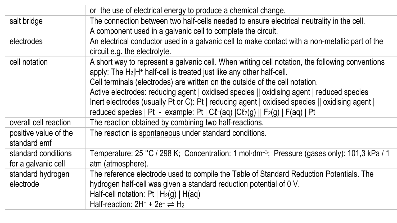|                                            | or the use of electrical energy to produce a chemical change.                                                                                                                                                                                                                                  |
|--------------------------------------------|------------------------------------------------------------------------------------------------------------------------------------------------------------------------------------------------------------------------------------------------------------------------------------------------|
| salt bridge                                | The connection between two half-cells needed to ensure electrical neutrality in the cell.                                                                                                                                                                                                      |
|                                            | A component used in a galvanic cell to complete the circuit.                                                                                                                                                                                                                                   |
| electrodes                                 | An electrical conductor used in a galvanic cell to make contact with a non-metallic part of the                                                                                                                                                                                                |
|                                            | circuit e.g. the electrolyte.                                                                                                                                                                                                                                                                  |
| cell notation                              | A short way to represent a galvanic cell. When writing cell notation, the following conventions<br>apply: The H2 H <sup>+</sup> half-cell is treated just like any other half-cell.<br>Cell terminals (electrodes) are written on the outside of the cell notation.                            |
|                                            | Active electrodes: reducing agent   oxidised species    oxidising agent   reduced species<br>Inert electrodes (usually Pt or C): Pt   reducing agent   oxidised species    oxidising agent  <br>reduced species   Pt - example: Pt   C $l$ -(aq) $ Cl_2(g) $   F <sub>2</sub> (g)   F(aq)   Pt |
| overall cell reaction                      | The reaction obtained by combining two half-reactions.                                                                                                                                                                                                                                         |
| positive value of the<br>standard emf      | The reaction is spontaneous under standard conditions.                                                                                                                                                                                                                                         |
| standard conditions<br>for a galvanic cell | Temperature: 25 °C / 298 K; Concentration: 1 mol·dm <sup>-3</sup> ; Pressure (gases only): 101,3 kPa / 1<br>atm (atmosphere).                                                                                                                                                                  |
| standard hydrogen<br>electrode             | The reference electrode used to compile the Table of Standard Reduction Potentials. The<br>hydrogen half-cell was given a standard reduction potential of 0 V.<br>Half-cell notation: $Pt   H2(g)   H(aq)$<br>Half-reaction: $2H^+ + 2e^- \rightleftharpoons H_2$                              |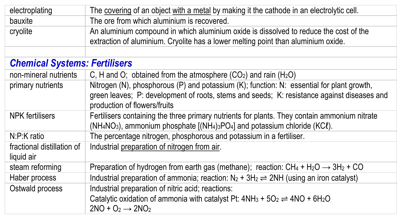| electroplating                           | The covering of an object with a metal by making it the cathode in an electrolytic cell.                                                                                                                                |
|------------------------------------------|-------------------------------------------------------------------------------------------------------------------------------------------------------------------------------------------------------------------------|
| bauxite                                  | The ore from which aluminium is recovered.                                                                                                                                                                              |
| cryolite                                 | An aluminium compound in which aluminium oxide is dissolved to reduce the cost of the<br>extraction of aluminium. Cryolite has a lower melting point than aluminium oxide.                                              |
|                                          |                                                                                                                                                                                                                         |
| <b>Chemical Systems: Fertilisers</b>     |                                                                                                                                                                                                                         |
| non-mineral nutrients                    | C, H and O; obtained from the atmosphere $(CO2)$ and rain $(H2O)$                                                                                                                                                       |
| primary nutrients                        | Nitrogen (N), phosphorous (P) and potassium (K); function: N: essential for plant growth,<br>green leaves; P: development of roots, stems and seeds; K: resistance against diseases and<br>production of flowers/fruits |
| NPK fertilisers                          | Fertilisers containing the three primary nutrients for plants. They contain ammonium nitrate<br>$(NH_4NO_3)$ , ammonium phosphate $[(NH_4)_3PO_4]$ and potassium chloride (KC $\ell$ ).                                 |
| N:P:K ratio                              | The percentage nitrogen, phosphorous and potassium in a fertiliser.                                                                                                                                                     |
| fractional distillation of<br>liquid air | Industrial preparation of nitrogen from air.                                                                                                                                                                            |
| steam reforming                          | Preparation of hydrogen from earth gas (methane); reaction: $CH_4 + H_2O \rightarrow 3H_2 + CO$                                                                                                                         |
| Haber process                            | Industrial preparation of ammonia; reaction: $N_2 + 3H_2 \rightleftharpoons 2NH$ (using an iron catalyst)                                                                                                               |
| Ostwald process                          | Industrial preparation of nitric acid; reactions:<br>Catalytic oxidation of ammonia with catalyst Pt: $4NH_3 + 5O_2 \rightleftharpoons 4NO + 6H_2O$<br>$2NO + O2 \rightarrow 2NO2$                                      |